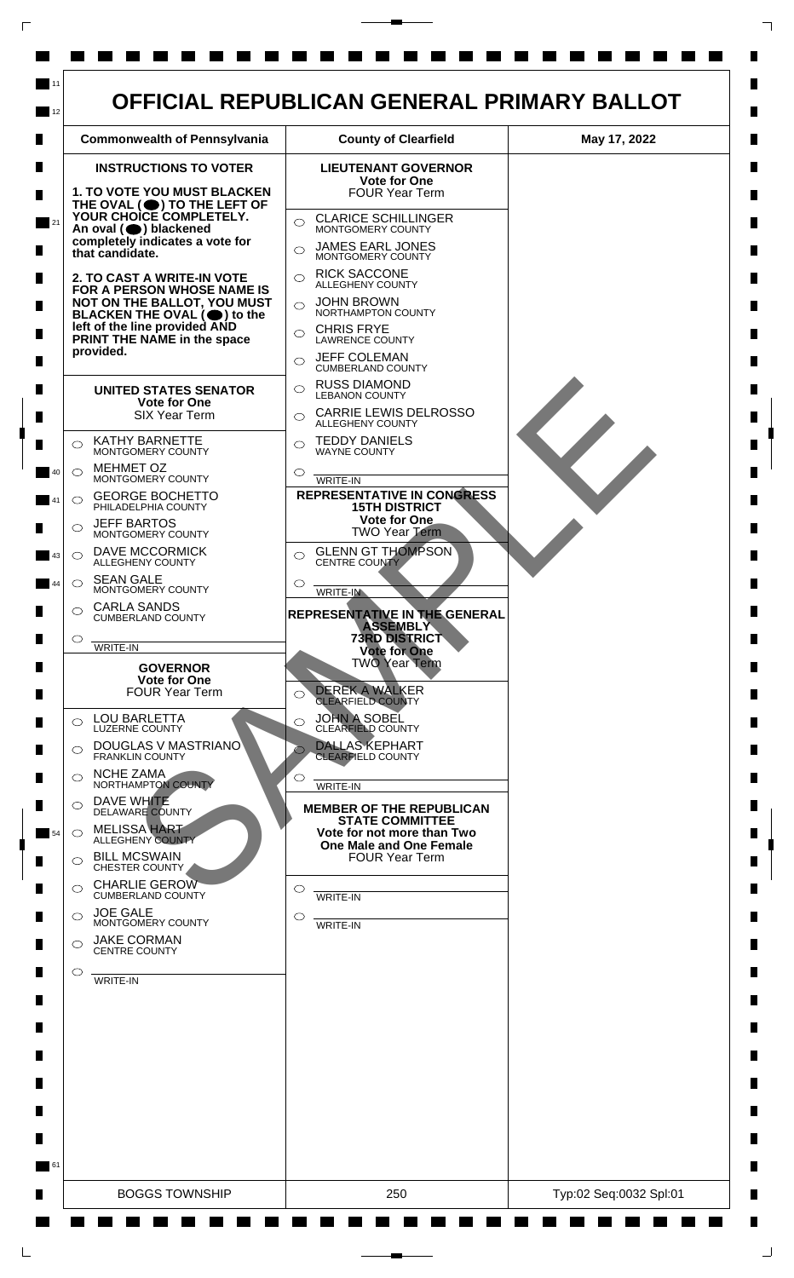

 $\mathsf{L}$ 

 $\Box$